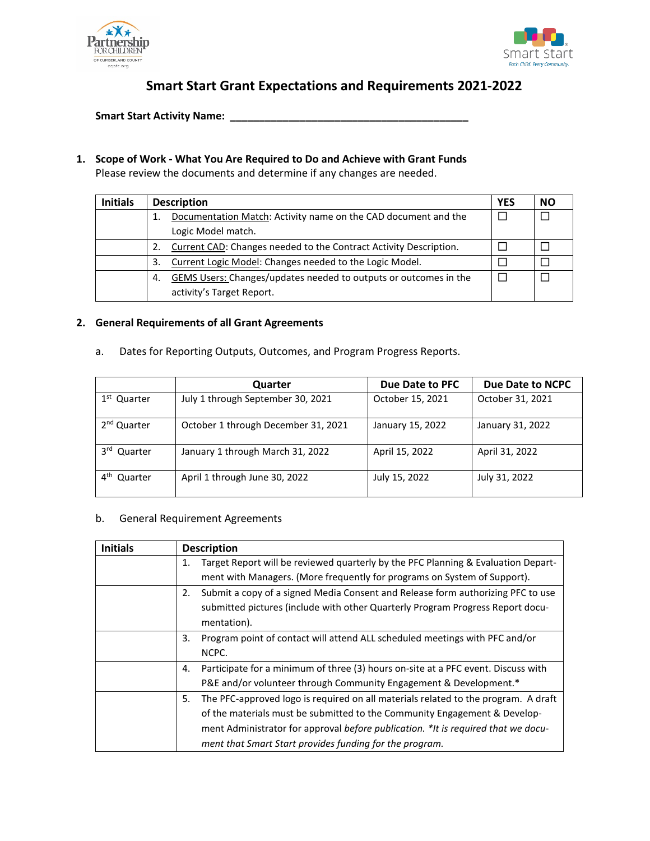



# **Smart Start Grant Expectations and Requirements 2021-2022**

**Smart Start Activity Name: \_\_\_\_\_\_\_\_\_\_\_\_\_\_\_\_\_\_\_\_\_\_\_\_\_\_\_\_\_\_\_\_\_\_\_\_\_\_\_\_\_**

## **1. Scope of Work - What You Are Required to Do and Achieve with Grant Funds**

Please review the documents and determine if any changes are needed.

| <b>Initials</b> | <b>Description</b> |                                                                   | <b>YES</b> | NΟ |
|-----------------|--------------------|-------------------------------------------------------------------|------------|----|
|                 | 1.                 | Documentation Match: Activity name on the CAD document and the    |            |    |
|                 |                    | Logic Model match.                                                |            |    |
|                 | 2.                 | Current CAD: Changes needed to the Contract Activity Description. |            |    |
|                 | 3.                 | Current Logic Model: Changes needed to the Logic Model.           |            |    |
|                 | -4.                | GEMS Users: Changes/updates needed to outputs or outcomes in the  |            |    |
|                 |                    | activity's Target Report.                                         |            |    |

#### **2. General Requirements of all Grant Agreements**

| Dates for Reporting Outputs, Outcomes, and Program Progress Reports.<br>a. |  |
|----------------------------------------------------------------------------|--|
|----------------------------------------------------------------------------|--|

|                            | Quarter                             | Due Date to PFC  | Due Date to NCPC |
|----------------------------|-------------------------------------|------------------|------------------|
| 1 <sup>st</sup> Quarter    | July 1 through September 30, 2021   | October 15, 2021 | October 31, 2021 |
| 2 <sup>nd</sup> Quarter    | October 1 through December 31, 2021 | January 15, 2022 | January 31, 2022 |
| 3rd Quarter                | January 1 through March 31, 2022    | April 15, 2022   | April 31, 2022   |
| $4^{\text{th}}$<br>Quarter | April 1 through June 30, 2022       | July 15, 2022    | July 31, 2022    |

#### b. General Requirement Agreements

| <b>Initials</b> | <b>Description</b>                                                                       |
|-----------------|------------------------------------------------------------------------------------------|
|                 | Target Report will be reviewed quarterly by the PFC Planning & Evaluation Depart-<br>1.  |
|                 | ment with Managers. (More frequently for programs on System of Support).                 |
|                 | Submit a copy of a signed Media Consent and Release form authorizing PFC to use<br>2.    |
|                 | submitted pictures (include with other Quarterly Program Progress Report docu-           |
|                 | mentation).                                                                              |
|                 | 3.<br>Program point of contact will attend ALL scheduled meetings with PFC and/or        |
|                 | NCPC.                                                                                    |
|                 | Participate for a minimum of three (3) hours on-site at a PFC event. Discuss with<br>4.  |
|                 | P&E and/or volunteer through Community Engagement & Development.*                        |
|                 | The PFC-approved logo is required on all materials related to the program. A draft<br>5. |
|                 | of the materials must be submitted to the Community Engagement & Develop-                |
|                 | ment Administrator for approval before publication. *It is required that we docu-        |
|                 | ment that Smart Start provides funding for the program.                                  |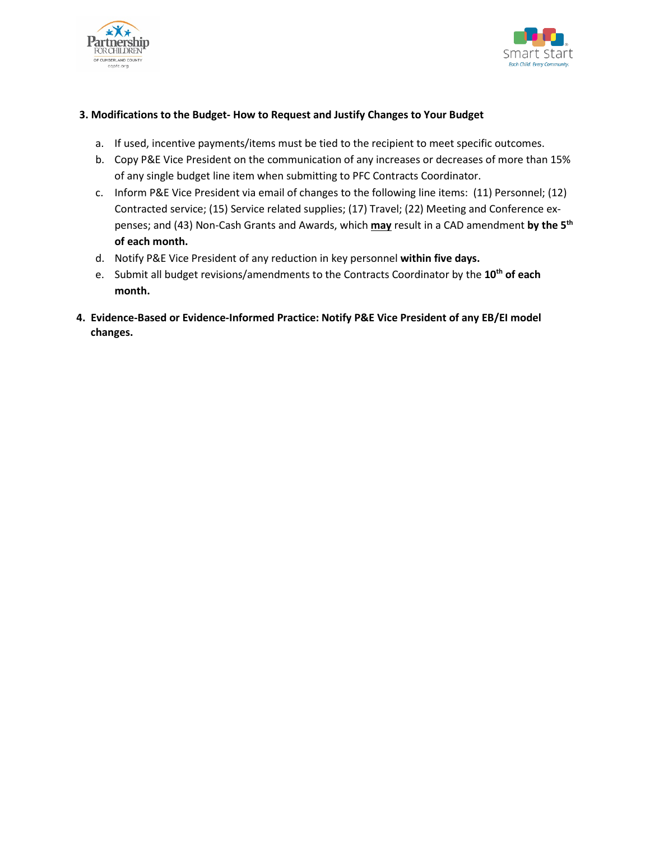



## **3. Modifications to the Budget- How to Request and Justify Changes to Your Budget**

- a. If used, incentive payments/items must be tied to the recipient to meet specific outcomes.
- b. Copy P&E Vice President on the communication of any increases or decreases of more than 15% of any single budget line item when submitting to PFC Contracts Coordinator.
- c. Inform P&E Vice President via email of changes to the following line items: (11) Personnel; (12) Contracted service; (15) Service related supplies; (17) Travel; (22) Meeting and Conference expenses; and (43) Non-Cash Grants and Awards, which **may** result in a CAD amendment **by the 5th of each month.**
- d. Notify P&E Vice President of any reduction in key personnel **within five days.**
- e. Submit all budget revisions/amendments to the Contracts Coordinator by the 10<sup>th</sup> of each **month.**
- **4. Evidence-Based or Evidence-Informed Practice: Notify P&E Vice President of any EB/EI model changes.**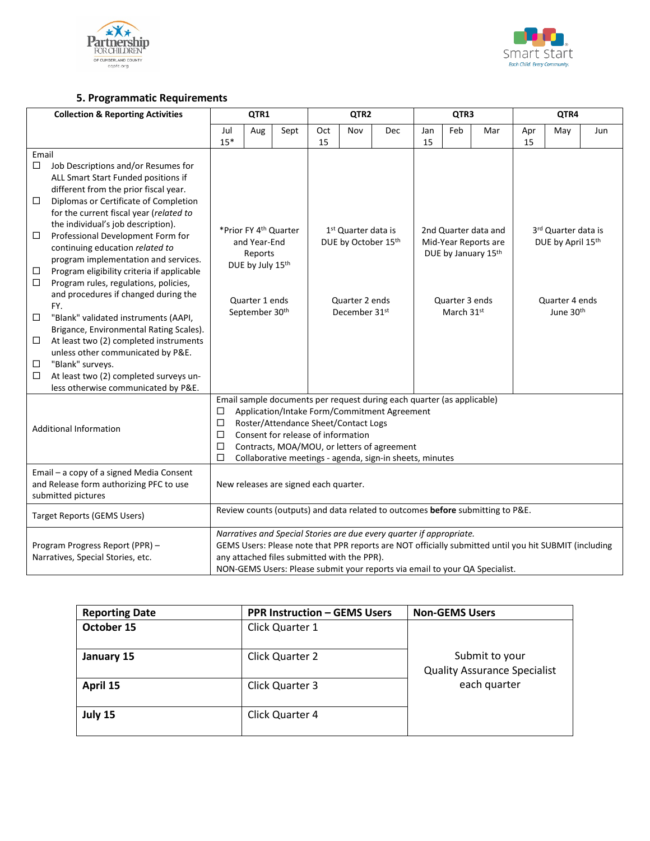



# **5. Programmatic Requirements**

| <b>Collection &amp; Reporting Activities</b> |                                                                               | QTR1                                                                                                  |                                                                      | QTR <sub>2</sub>                                       |           |                | QTR3                                         |           |                     | QTR4                                     |           |                |     |  |
|----------------------------------------------|-------------------------------------------------------------------------------|-------------------------------------------------------------------------------------------------------|----------------------------------------------------------------------|--------------------------------------------------------|-----------|----------------|----------------------------------------------|-----------|---------------------|------------------------------------------|-----------|----------------|-----|--|
|                                              |                                                                               | Jul<br>$15*$                                                                                          | Aug                                                                  | Sept                                                   | Oct<br>15 | Nov            | Dec                                          | Jan<br>15 | Feb                 | Mar                                      | Apr<br>15 | May            | Jun |  |
| Email                                        |                                                                               |                                                                                                       |                                                                      |                                                        |           |                |                                              |           |                     |                                          |           |                |     |  |
| □                                            | Job Descriptions and/or Resumes for                                           |                                                                                                       |                                                                      |                                                        |           |                |                                              |           |                     |                                          |           |                |     |  |
|                                              | ALL Smart Start Funded positions if                                           |                                                                                                       |                                                                      |                                                        |           |                |                                              |           |                     |                                          |           |                |     |  |
|                                              | different from the prior fiscal year.                                         |                                                                                                       |                                                                      |                                                        |           |                |                                              |           |                     |                                          |           |                |     |  |
| ◻                                            | Diplomas or Certificate of Completion                                         |                                                                                                       |                                                                      |                                                        |           |                |                                              |           |                     |                                          |           |                |     |  |
|                                              | for the current fiscal year (related to<br>the individual's job description). |                                                                                                       |                                                                      |                                                        |           |                |                                              |           |                     |                                          |           |                |     |  |
| $\Box$                                       | Professional Development Form for                                             | *Prior FY 4 <sup>th</sup> Quarter                                                                     |                                                                      | 1 <sup>st</sup> Quarter data is<br>DUE by October 15th |           |                | 2nd Quarter data and<br>Mid-Year Reports are |           |                     | 3rd Quarter data is<br>DUE by April 15th |           |                |     |  |
|                                              | continuing education related to                                               | and Year-End                                                                                          |                                                                      |                                                        |           |                |                                              |           |                     |                                          |           |                |     |  |
|                                              | program implementation and services.                                          |                                                                                                       | Reports                                                              |                                                        |           |                |                                              |           | DUE by January 15th |                                          |           |                |     |  |
| $\Box$                                       | Program eligibility criteria if applicable                                    | DUE by July 15th                                                                                      |                                                                      |                                                        |           |                |                                              |           |                     |                                          |           |                |     |  |
| □                                            | Program rules, regulations, policies,                                         |                                                                                                       |                                                                      |                                                        |           |                |                                              |           |                     |                                          |           |                |     |  |
|                                              | and procedures if changed during the                                          |                                                                                                       | Quarter 1 ends                                                       |                                                        |           | Quarter 2 ends |                                              |           | Quarter 3 ends      |                                          |           | Quarter 4 ends |     |  |
|                                              | FY.                                                                           |                                                                                                       | September 30th                                                       |                                                        |           | December 31st  |                                              |           | March 31st          |                                          |           | June 30th      |     |  |
| $\Box$                                       | "Blank" validated instruments (AAPI,                                          |                                                                                                       |                                                                      |                                                        |           |                |                                              |           |                     |                                          |           |                |     |  |
|                                              | Brigance, Environmental Rating Scales).                                       |                                                                                                       |                                                                      |                                                        |           |                |                                              |           |                     |                                          |           |                |     |  |
| $\Box$                                       | At least two (2) completed instruments                                        |                                                                                                       |                                                                      |                                                        |           |                |                                              |           |                     |                                          |           |                |     |  |
|                                              | unless other communicated by P&E.                                             |                                                                                                       |                                                                      |                                                        |           |                |                                              |           |                     |                                          |           |                |     |  |
| $\Box$<br>$\Box$                             | "Blank" surveys.<br>At least two (2) completed surveys un-                    |                                                                                                       |                                                                      |                                                        |           |                |                                              |           |                     |                                          |           |                |     |  |
|                                              | less otherwise communicated by P&E.                                           |                                                                                                       |                                                                      |                                                        |           |                |                                              |           |                     |                                          |           |                |     |  |
|                                              |                                                                               | Email sample documents per request during each quarter (as applicable)                                |                                                                      |                                                        |           |                |                                              |           |                     |                                          |           |                |     |  |
|                                              |                                                                               | Application/Intake Form/Commitment Agreement<br>□                                                     |                                                                      |                                                        |           |                |                                              |           |                     |                                          |           |                |     |  |
|                                              |                                                                               | □                                                                                                     |                                                                      | Roster/Attendance Sheet/Contact Logs                   |           |                |                                              |           |                     |                                          |           |                |     |  |
| <b>Additional Information</b>                |                                                                               | □<br>Consent for release of information                                                               |                                                                      |                                                        |           |                |                                              |           |                     |                                          |           |                |     |  |
|                                              |                                                                               | Contracts, MOA/MOU, or letters of agreement<br>□                                                      |                                                                      |                                                        |           |                |                                              |           |                     |                                          |           |                |     |  |
|                                              |                                                                               | □<br>Collaborative meetings - agenda, sign-in sheets, minutes                                         |                                                                      |                                                        |           |                |                                              |           |                     |                                          |           |                |     |  |
| Email - a copy of a signed Media Consent     |                                                                               |                                                                                                       |                                                                      |                                                        |           |                |                                              |           |                     |                                          |           |                |     |  |
| and Release form authorizing PFC to use      |                                                                               |                                                                                                       |                                                                      | New releases are signed each quarter.                  |           |                |                                              |           |                     |                                          |           |                |     |  |
| submitted pictures                           |                                                                               |                                                                                                       |                                                                      |                                                        |           |                |                                              |           |                     |                                          |           |                |     |  |
| Target Reports (GEMS Users)                  |                                                                               | Review counts (outputs) and data related to outcomes before submitting to P&E.                        |                                                                      |                                                        |           |                |                                              |           |                     |                                          |           |                |     |  |
|                                              |                                                                               |                                                                                                       | Narratives and Special Stories are due every quarter if appropriate. |                                                        |           |                |                                              |           |                     |                                          |           |                |     |  |
|                                              | Program Progress Report (PPR) -                                               | GEMS Users: Please note that PPR reports are NOT officially submitted until you hit SUBMIT (including |                                                                      |                                                        |           |                |                                              |           |                     |                                          |           |                |     |  |
|                                              | Narratives, Special Stories, etc.                                             | any attached files submitted with the PPR).                                                           |                                                                      |                                                        |           |                |                                              |           |                     |                                          |           |                |     |  |
|                                              |                                                                               | NON-GEMS Users: Please submit your reports via email to your QA Specialist.                           |                                                                      |                                                        |           |                |                                              |           |                     |                                          |           |                |     |  |

| <b>Reporting Date</b> | <b>PPR Instruction - GEMS Users</b> | <b>Non-GEMS Users</b>                                 |
|-----------------------|-------------------------------------|-------------------------------------------------------|
| October 15            | Click Quarter 1                     |                                                       |
| January 15            | Click Quarter 2                     | Submit to your<br><b>Quality Assurance Specialist</b> |
| April 15              | Click Quarter 3                     | each quarter                                          |
| July 15               | Click Quarter 4                     |                                                       |